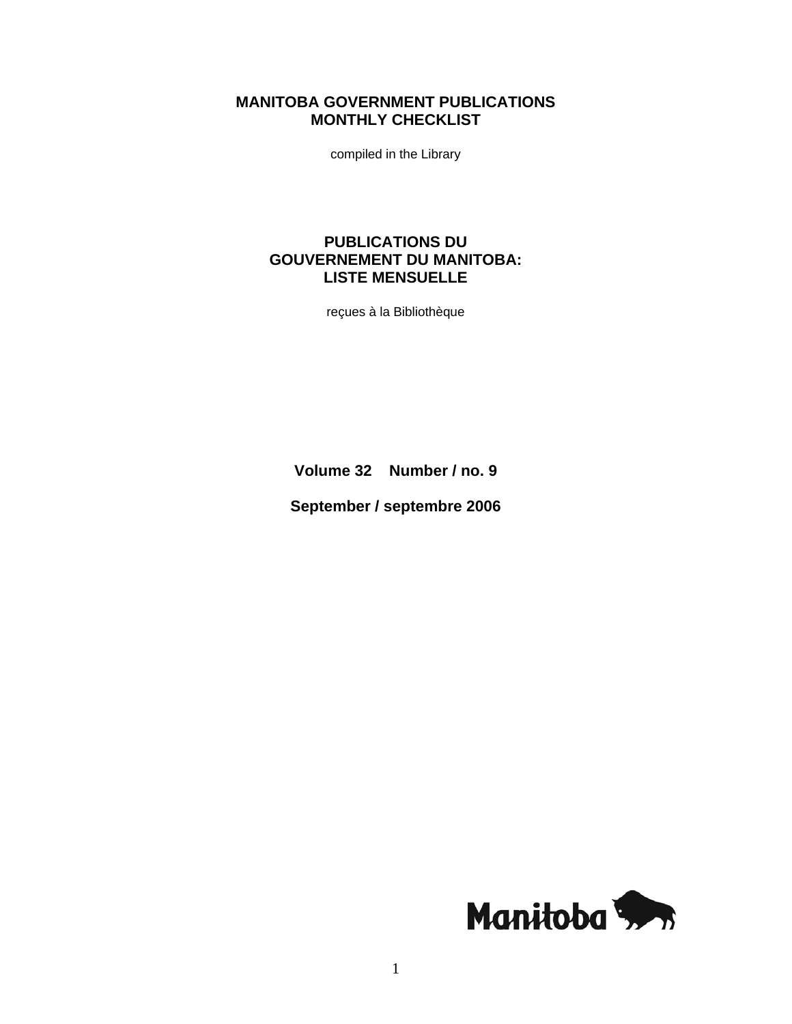# **MANITOBA GOVERNMENT PUBLICATIONS MONTHLY CHECKLIST**

compiled in the Library

# **PUBLICATIONS DU GOUVERNEMENT DU MANITOBA: LISTE MENSUELLE**

reçues à la Bibliothèque

**Volume 32 Number / no. 9** 

**September / septembre 2006** 

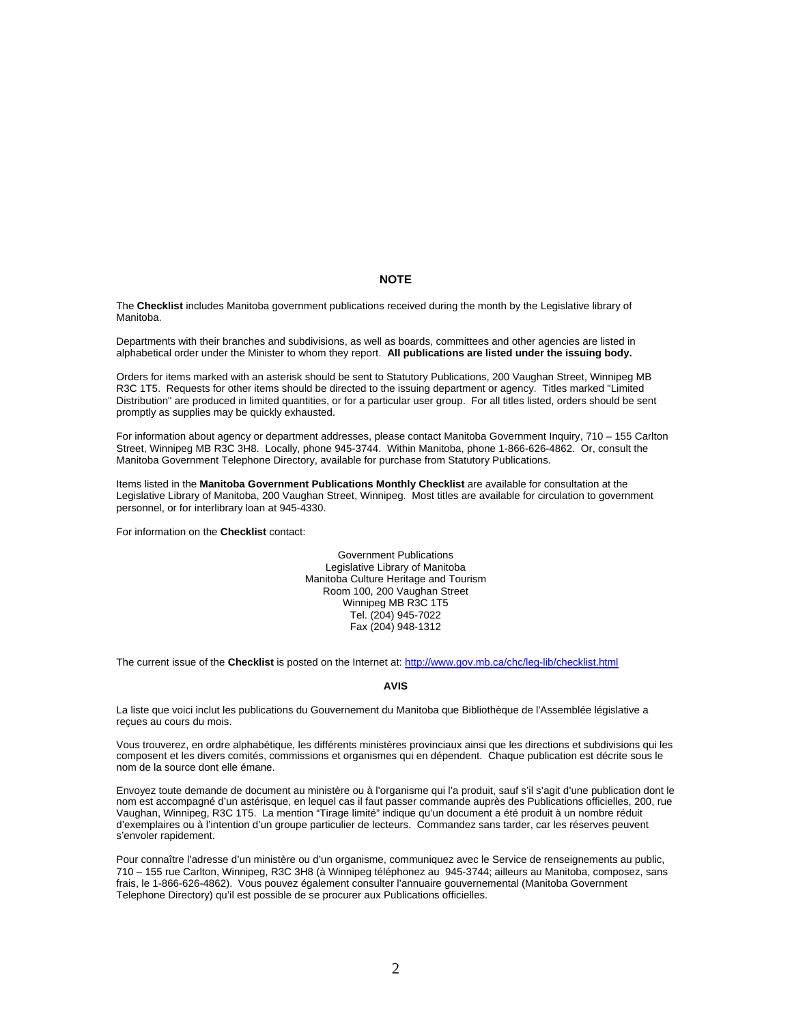#### **NOTE**

The **Checklist** includes Manitoba government publications received during the month by the Legislative library of Manitoba.

Departments with their branches and subdivisions, as well as boards, committees and other agencies are listed in alphabetical order under the Minister to whom they report. **All publications are listed under the issuing body.** 

Orders for items marked with an asterisk should be sent to Statutory Publications, 200 Vaughan Street, Winnipeg MB R3C 1T5. Requests for other items should be directed to the issuing department or agency. Titles marked "Limited Distribution" are produced in limited quantities, or for a particular user group. For all titles listed, orders should be sent promptly as supplies may be quickly exhausted.

For information about agency or department addresses, please contact Manitoba Government Inquiry, 710 – 155 Carlton Street, Winnipeg MB R3C 3H8. Locally, phone 945-3744. Within Manitoba, phone 1-866-626-4862. Or, consult the Manitoba Government Telephone Directory, available for purchase from Statutory Publications.

Items listed in the **Manitoba Government Publications Monthly Checklist** are available for consultation at the Legislative Library of Manitoba, 200 Vaughan Street, Winnipeg. Most titles are available for circulation to government personnel, or for interlibrary loan at 945-4330.

For information on the **Checklist** contact:

Government Publications Legislative Library of Manitoba Manitoba Culture Heritage and Tourism Room 100, 200 Vaughan Street Winnipeg MB R3C 1T5 Tel. (204) 945-7022 Fax (204) 948-1312

The current issue of the **Checklist** is posted on the Internet at: [http://www.gov.mb.ca/chc/leg-lib/checklist.html](https://www.gov.mb.ca/chc/leg-lib/checklist.html)

#### **AVIS**

La liste que voici inclut les publications du Gouvernement du Manitoba que Bibliothèque de l'Assemblée législative a reçues au cours du mois.

Vous trouverez, en ordre alphabétique, les différents ministères provinciaux ainsi que les directions et subdivisions qui les composent et les divers comités, commissions et organismes qui en dépendent. Chaque publication est décrite sous le nom de la source dont elle émane.

Envoyez toute demande de document au ministère ou à l'organisme qui l'a produit, sauf s'il s'agit d'une publication dont le nom est accompagné d'un astérisque, en lequel cas il faut passer commande auprès des Publications officielles, 200, rue Vaughan, Winnipeg, R3C 1T5. La mention "Tirage limité" indique qu'un document a été produit à un nombre réduit d'exemplaires ou à l'intention d'un groupe particulier de lecteurs. Commandez sans tarder, car les réserves peuvent s'envoler rapidement.

Pour connaître l'adresse d'un ministère ou d'un organisme, communiquez avec le Service de renseignements au public, 710 – 155 rue Carlton, Winnipeg, R3C 3H8 (à Winnipeg téléphonez au 945-3744; ailleurs au Manitoba, composez, sans frais, le 1-866-626-4862). Vous pouvez également consulter l'annuaire gouvernemental (Manitoba Government Telephone Directory) qu'il est possible de se procurer aux Publications officielles.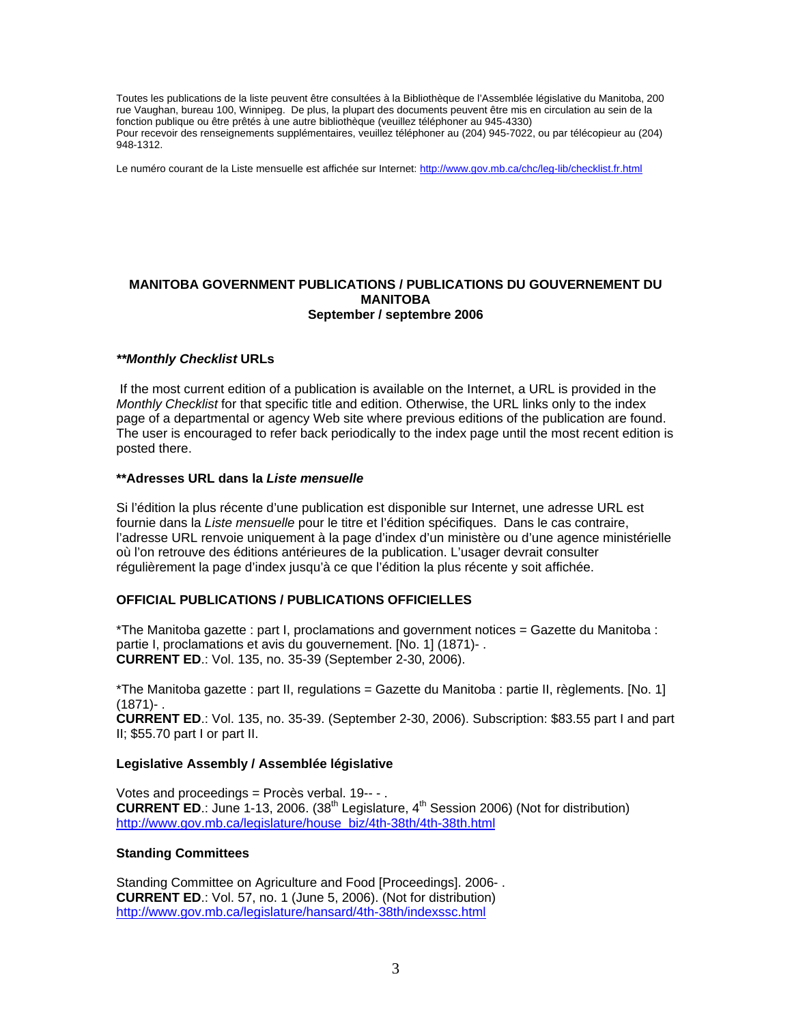Toutes les publications de la liste peuvent être consultées à la Bibliothèque de l'Assemblée législative du Manitoba, 200 rue Vaughan, bureau 100, Winnipeg. De plus, la plupart des documents peuvent être mis en circulation au sein de la fonction publique ou être prêtés à une autre bibliothèque (veuillez téléphoner au 945-4330) Pour recevoir des renseignements supplémentaires, veuillez téléphoner au (204) 945-7022, ou par télécopieur au (204) 948-1312.

Le numéro courant de la Liste mensuelle est affichée sur Internet: [http://www.gov.mb.ca/chc/leg-lib/checklist.fr.html](https://www.gov.mb.ca/chc/leg-lib/checklist.fr.html)

#### **MANITOBA GOVERNMENT PUBLICATIONS / PUBLICATIONS DU GOUVERNEMENT DU MANITOBA September / septembre 2006**

#### *\*\*Monthly Checklist* **URLs**

 If the most current edition of a publication is available on the Internet, a URL is provided in the *Monthly Checklist* for that specific title and edition. Otherwise, the URL links only to the index page of a departmental or agency Web site where previous editions of the publication are found. The user is encouraged to refer back periodically to the index page until the most recent edition is posted there.

#### **\*\*Adresses URL dans la** *Liste mensuelle*

Si l'édition la plus récente d'une publication est disponible sur Internet, une adresse URL est fournie dans la *Liste mensuelle* pour le titre et l'édition spécifiques. Dans le cas contraire, l'adresse URL renvoie uniquement à la page d'index d'un ministère ou d'une agence ministérielle où l'on retrouve des éditions antérieures de la publication. L'usager devrait consulter régulièrement la page d'index jusqu'à ce que l'édition la plus récente y soit affichée.

#### **OFFICIAL PUBLICATIONS / PUBLICATIONS OFFICIELLES**

\*The Manitoba gazette : part I, proclamations and government notices = Gazette du Manitoba : partie I, proclamations et avis du gouvernement. [No. 1] (1871)- . **CURRENT ED**.: Vol. 135, no. 35-39 (September 2-30, 2006).

\*The Manitoba gazette : part II, regulations = Gazette du Manitoba : partie II, règlements. [No. 1]  $(1871) -$ .

**CURRENT ED**.: Vol. 135, no. 35-39. (September 2-30, 2006). Subscription: \$83.55 part I and part II; \$55.70 part I or part II.

#### **Legislative Assembly / Assemblée législative**

Votes and proceedings = Procès verbal. 19-- - . **CURRENT ED.:** June 1-13, 2006.  $(38<sup>th</sup>$  Legislature,  $4<sup>th</sup>$  Session 2006) (Not for distribution) [http://www.gov.mb.ca/legislature/house\\_biz/4th-38th/4th-38th.html](https://www.gov.mb.ca/legislature/house_biz/4th-38th/4th-38th.html)

#### **Standing Committees**

Standing Committee on Agriculture and Food [Proceedings]. 2006- . **CURRENT ED**.: Vol. 57, no. 1 (June 5, 2006). (Not for distribution) [http://www.gov.mb.ca/legislature/hansard/4th-38th/indexssc.html](https://www.gov.mb.ca/legislature/hansard/4th-38th/indexssc.html)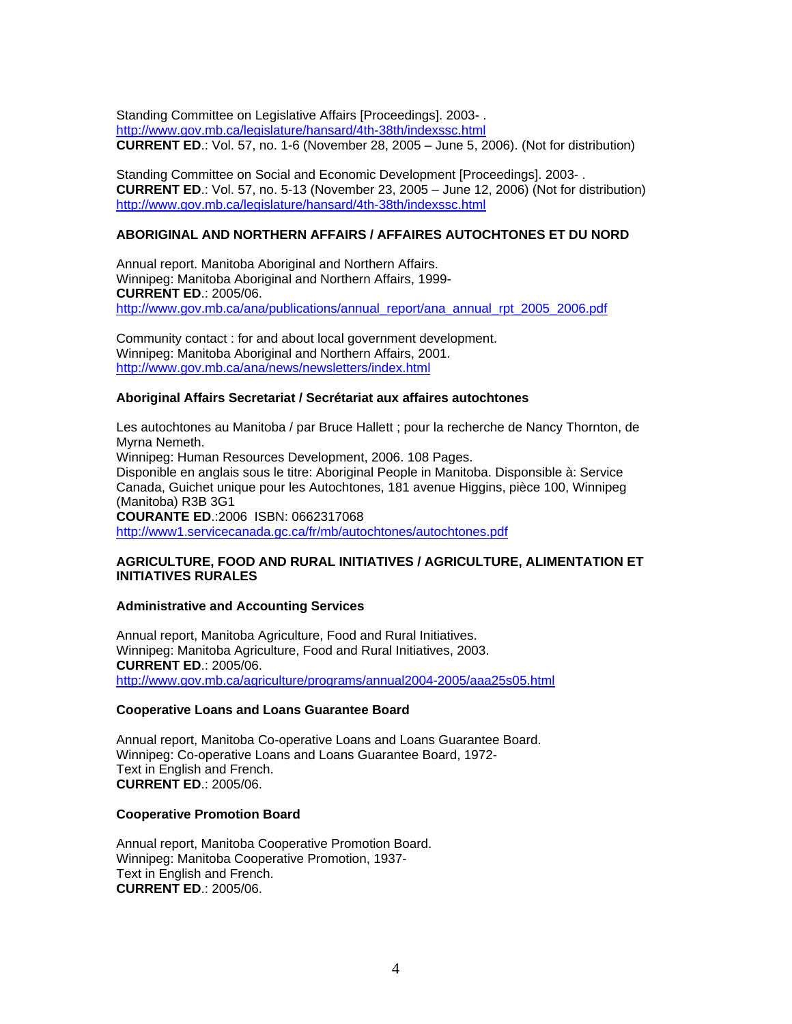Standing Committee on Legislative Affairs [Proceedings]. 2003- . [http://www.gov.mb.ca/legislature/hansard/4th-38th/indexssc.html](https://www.gov.mb.ca/legislature/hansard/4th-38th/indexssc.html) **CURRENT ED**.: Vol. 57, no. 1-6 (November 28, 2005 – June 5, 2006). (Not for distribution)

Standing Committee on Social and Economic Development [Proceedings]. 2003- . **CURRENT ED**.: Vol. 57, no. 5-13 (November 23, 2005 – June 12, 2006) (Not for distribution) [http://www.gov.mb.ca/legislature/hansard/4th-38th/indexssc.html](https://www.gov.mb.ca/legislature/hansard/4th-38th/indexssc.html)

### **ABORIGINAL AND NORTHERN AFFAIRS / AFFAIRES AUTOCHTONES ET DU NORD**

Annual report. Manitoba Aboriginal and Northern Affairs. Winnipeg: Manitoba Aboriginal and Northern Affairs, 1999- **CURRENT ED**.: 2005/06. [http://www.gov.mb.ca/ana/publications/annual\\_report/ana\\_annual\\_rpt\\_2005\\_2006.pdf](https://www.gov.mb.ca/ana/publications/annual_report/ana_annual_rpt_2005_2006.pdf)

Community contact : for and about local government development. Winnipeg: Manitoba Aboriginal and Northern Affairs, 2001. [http://www.gov.mb.ca/ana/news/newsletters/index.html](https://www.gov.mb.ca/ana/news/newsletters/index.html)

### **Aboriginal Affairs Secretariat / Secrétariat aux affaires autochtones**

Les autochtones au Manitoba / par Bruce Hallett ; pour la recherche de Nancy Thornton, de Myrna Nemeth.

Winnipeg: Human Resources Development, 2006. 108 Pages. Disponible en anglais sous le titre: Aboriginal People in Manitoba. Disponsible à: Service Canada, Guichet unique pour les Autochtones, 181 avenue Higgins, pièce 100, Winnipeg (Manitoba) R3B 3G1 **COURANTE ED**.:2006 ISBN: 0662317068

<http://www1.servicecanada.gc.ca/fr/mb/autochtones/autochtones.pdf>

### **AGRICULTURE, FOOD AND RURAL INITIATIVES / AGRICULTURE, ALIMENTATION ET INITIATIVES RURALES**

### **Administrative and Accounting Services**

Annual report, Manitoba Agriculture, Food and Rural Initiatives. Winnipeg: Manitoba Agriculture, Food and Rural Initiatives, 2003. **CURRENT ED**.: 2005/06. [http://www.gov.mb.ca/agriculture/programs/annual2004-2005/aaa25s05.html](https://www.gov.mb.ca/agriculture/programs/annual2004-2005/aaa25s05.html)

### **Cooperative Loans and Loans Guarantee Board**

Annual report, Manitoba Co-operative Loans and Loans Guarantee Board. Winnipeg: Co-operative Loans and Loans Guarantee Board, 1972- Text in English and French. **CURRENT ED**.: 2005/06.

### **Cooperative Promotion Board**

Annual report, Manitoba Cooperative Promotion Board. Winnipeg: Manitoba Cooperative Promotion, 1937- Text in English and French. **CURRENT ED**.: 2005/06.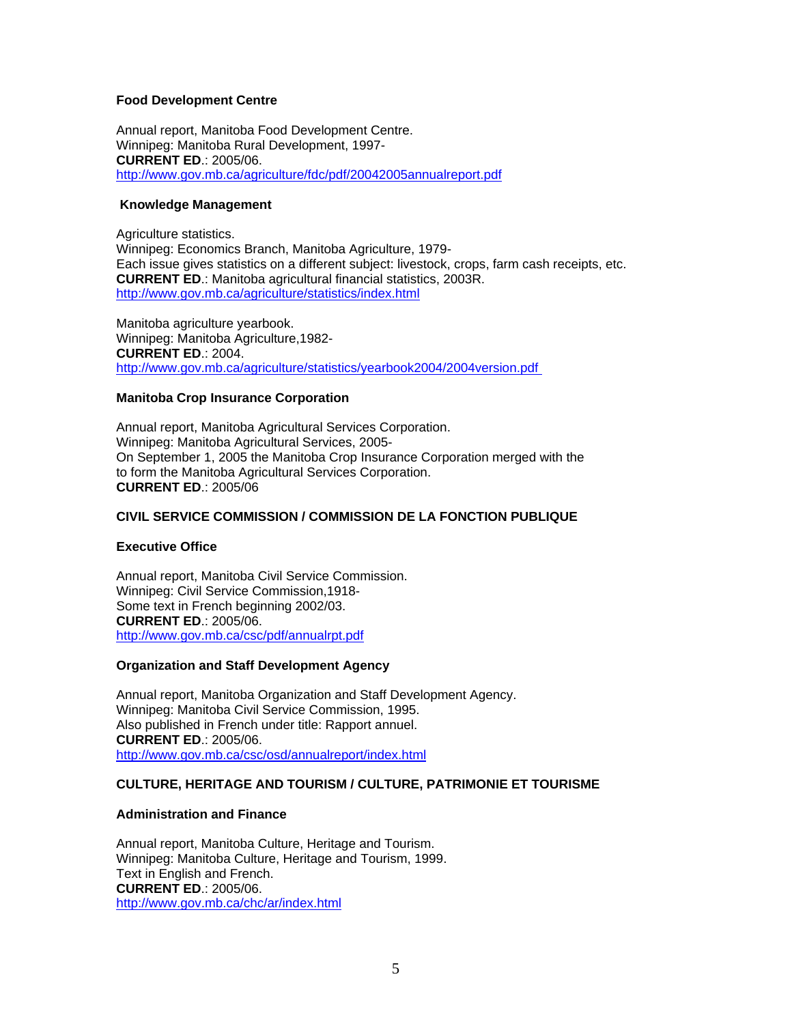### **Food Development Centre**

Annual report, Manitoba Food Development Centre. Winnipeg: Manitoba Rural Development, 1997- **CURRENT ED**.: 2005/06. [http://www.gov.mb.ca/agriculture/fdc/pdf/20042005annualreport.pdf](https://www.gov.mb.ca/agriculture/fdc/pdf/20042005annualreport.pdf)

### **Knowledge Management**

Agriculture statistics. Winnipeg: Economics Branch, Manitoba Agriculture, 1979- Each issue gives statistics on a different subject: livestock, crops, farm cash receipts, etc. **CURRENT ED**.: Manitoba agricultural financial statistics, 2003R. [http://www.gov.mb.ca/agriculture/statistics/index.html](https://www.gov.mb.ca/agriculture/statistics/index.html)

Manitoba agriculture yearbook. Winnipeg: Manitoba Agriculture,1982- **CURRENT ED**.: 2004. [http://www.gov.mb.ca/agriculture/statistics/yearbook2004/2004version.pdf](https://www.gov.mb.ca/agriculture/statistics/yearbook2004/2004version.pdf) 

### **Manitoba Crop Insurance Corporation**

Annual report, Manitoba Agricultural Services Corporation. Winnipeg: Manitoba Agricultural Services, 2005- On September 1, 2005 the Manitoba Crop Insurance Corporation merged with the to form the Manitoba Agricultural Services Corporation. **CURRENT ED**.: 2005/06

### **CIVIL SERVICE COMMISSION / [COMMISSION DE LA FONCTION PUBLIQUE](https://www.gov.mb.ca/csc/index.fr.html)**

### **Executive Office**

Annual report, Manitoba Civil Service Commission. Winnipeg: Civil Service Commission,1918- Some text in French beginning 2002/03. **CURRENT ED**.: 2005/06. [http://www.gov.mb.ca/csc/pdf/annualrpt.pdf](https://www.gov.mb.ca/csc/pdf/annualrpt.pdf)

### **Organization and Staff Development Agency**

Annual report, Manitoba Organization and Staff Development Agency. Winnipeg: Manitoba Civil Service Commission, 1995. Also published in French under title: Rapport annuel. **CURRENT ED**.: 2005/06. [http://www.gov.mb.ca/csc/osd/annualreport/index.html](https://www.gov.mb.ca/csc/osd/annualreport/index.html)

## **CULTURE, HERITAGE AND TOURISM / [CULTURE, PATRIMONIE ET TOURISME](https://www.gov.mb.ca/chc/index.fr.html)**

### **Administration and Finance**

Annual report, Manitoba Culture, Heritage and Tourism. Winnipeg: Manitoba Culture, Heritage and Tourism, 1999. Text in English and French. **CURRENT ED**.: 2005/06. [http://www.gov.mb.ca/chc/ar/index.html](https://www.gov.mb.ca/chc/ar/index.html)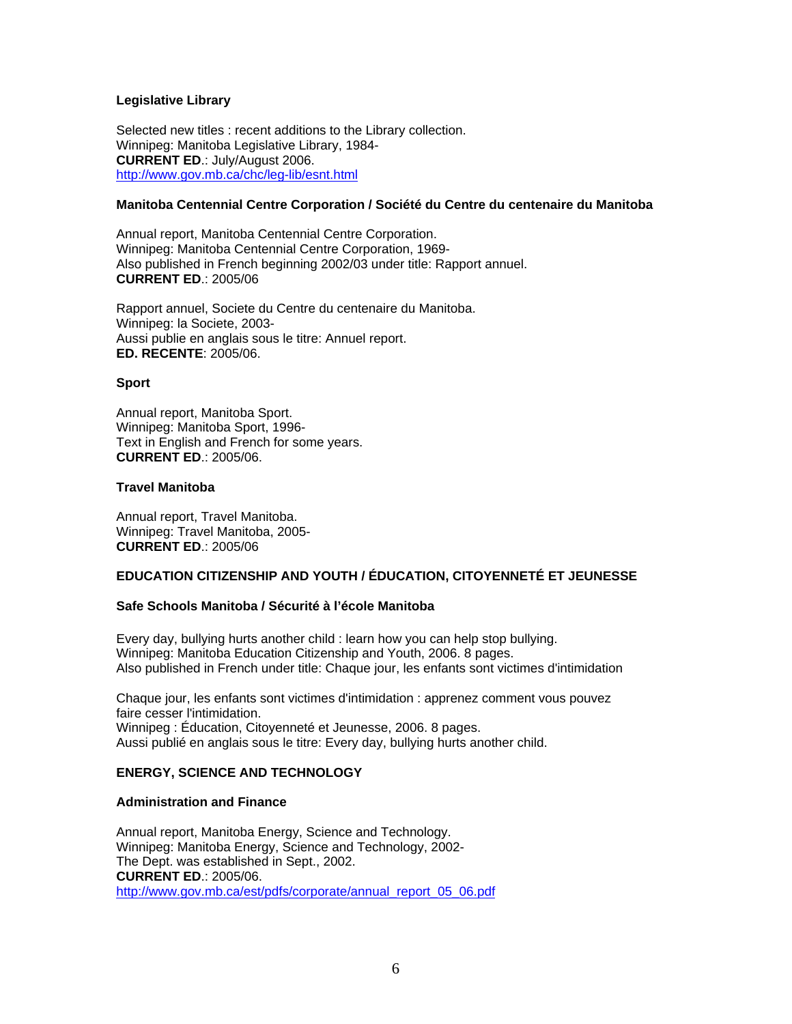### **Legislative Library**

Selected new titles : recent additions to the Library collection. Winnipeg: Manitoba Legislative Library, 1984- **CURRENT ED**.: July/August 2006. [http://www.gov.mb.ca/chc/leg-lib/esnt.html](https://www.gov.mb.ca/chc/leg-lib/esnt.html)

### **Manitoba Centennial Centre Corporation / Société du Centre du centenaire du Manitoba**

Annual report, Manitoba Centennial Centre Corporation. Winnipeg: Manitoba Centennial Centre Corporation, 1969- Also published in French beginning 2002/03 under title: Rapport annuel. **CURRENT ED**.: 2005/06

Rapport annuel, Societe du Centre du centenaire du Manitoba. Winnipeg: la Societe, 2003- Aussi publie en anglais sous le titre: Annuel report. **ED. RECENTE**: 2005/06.

### **Sport**

Annual report, Manitoba Sport. Winnipeg: Manitoba Sport, 1996- Text in English and French for some years. **CURRENT ED**.: 2005/06.

#### **Travel Manitoba**

Annual report, Travel Manitoba. Winnipeg: Travel Manitoba, 2005- **CURRENT ED**.: 2005/06

### **EDUCATION CITIZENSHIP AND YOUTH / ÉDUCATION, CITOYENNETÉ ET JEUNESSE**

### **Safe Schools Manitoba / Sécurité à l'école Manitoba**

Every day, bullying hurts another child : learn how you can help stop bullying. Winnipeg: Manitoba Education Citizenship and Youth, 2006. 8 pages. Also published in French under title: Chaque jour, les enfants sont victimes d'intimidation

Chaque jour, les enfants sont victimes d'intimidation : apprenez comment vous pouvez faire cesser l'intimidation. Winnipeg : [Éducation, Citoyenneté et Jeunesse](http://www.edu.gov.mb.ca/indexfr.html), 2006. 8 pages. Aussi publié en anglais sous le titre: Every day, bullying hurts another child.

### **ENERGY, SCIENCE AND TECHNOLOGY**

### **Administration and Finance**

Annual report, Manitoba Energy, Science and Technology. Winnipeg: Manitoba Energy, Science and Technology, 2002- The Dept. was established in Sept., 2002. **CURRENT ED**.: 2005/06. [http://www.gov.mb.ca/est/pdfs/corporate/annual\\_report\\_05\\_06.pdf](https://www.gov.mb.ca/est/pdfs/corporate/annual_report_05_06.pdf)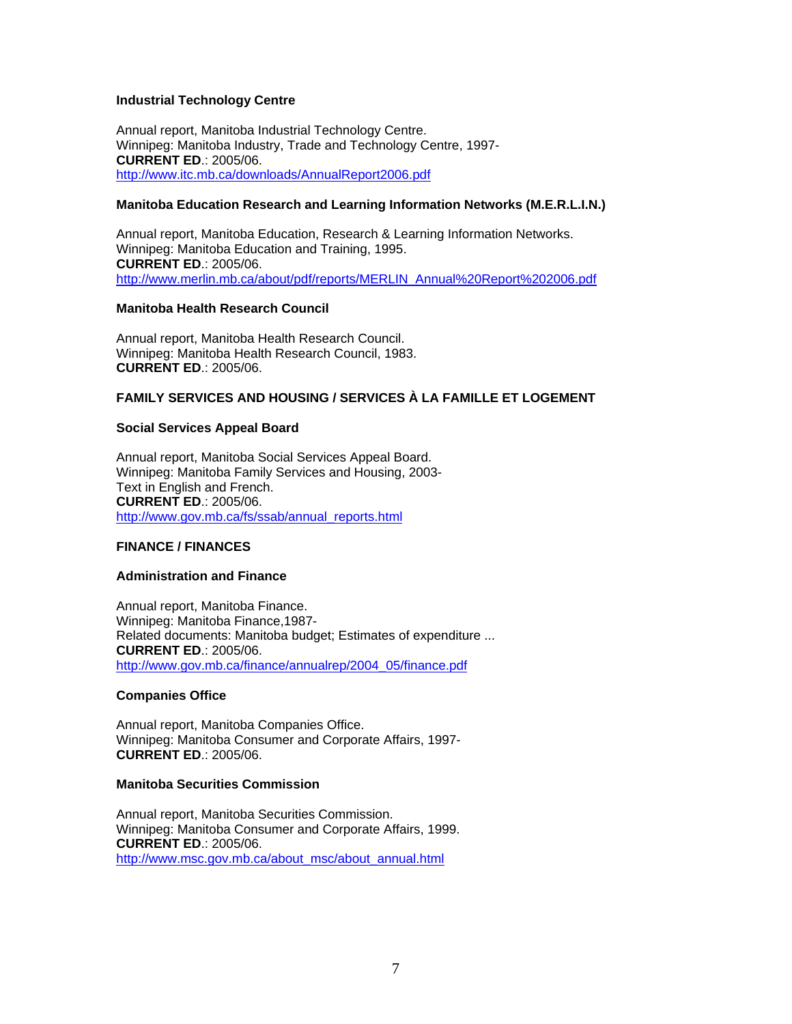### **Industrial Technology Centre**

Annual report, Manitoba Industrial Technology Centre. Winnipeg: Manitoba Industry, Trade and Technology Centre, 1997- **CURRENT ED**.: 2005/06. <http://www.itc.mb.ca/downloads/AnnualReport2006.pdf>

### **Manitoba Education Research and Learning Information Networks (M.E.R.L.I.N.)**

Annual report, Manitoba Education, Research & Learning Information Networks. Winnipeg: Manitoba Education and Training, 1995. **CURRENT ED**.: 2005/06. [http://www.merlin.mb.ca/about/pdf/reports/MERLIN\\_Annual%20Report%202006.pdf](http://www.merlin.mb.ca/about/pdf/reports/MERLIN_Annual%20Report%202006.pdf)

### **Manitoba Health Research Council**

Annual report, Manitoba Health Research Council. Winnipeg: Manitoba Health Research Council, 1983. **CURRENT ED**.: 2005/06.

## **FAMILY SERVICES AND HOUSING / SERVICES À LA FAMILLE ET LOGEMENT**

### **Social Services Appeal Board**

Annual report, Manitoba Social Services Appeal Board. Winnipeg: Manitoba Family Services and Housing, 2003- Text in English and French. **CURRENT ED**.: 2005/06. [http://www.gov.mb.ca/fs/ssab/annual\\_reports.html](https://www.gov.mb.ca/fs/ssab/annual_reports.html)

## **FINANCE / FINANCES**

### **Administration and Finance**

Annual report, Manitoba Finance. Winnipeg: Manitoba Finance,1987- Related documents: Manitoba budget; Estimates of expenditure ... **CURRENT ED**.: 2005/06. [http://www.gov.mb.ca/finance/annualrep/2004\\_05/finance.pdf](https://www.gov.mb.ca/finance/annualrep/2004_05/finance.pdf)

### **Companies Office**

Annual report, Manitoba Companies Office. Winnipeg: Manitoba Consumer and Corporate Affairs, 1997- **CURRENT ED**.: 2005/06.

### **Manitoba Securities Commission**

Annual report, Manitoba Securities Commission. Winnipeg: Manitoba Consumer and Corporate Affairs, 1999. **CURRENT ED**.: 2005/06. [http://www.msc.gov.mb.ca/about\\_msc/about\\_annual.html](http://www.msc.gov.mb.ca/about_msc/about_annual.html)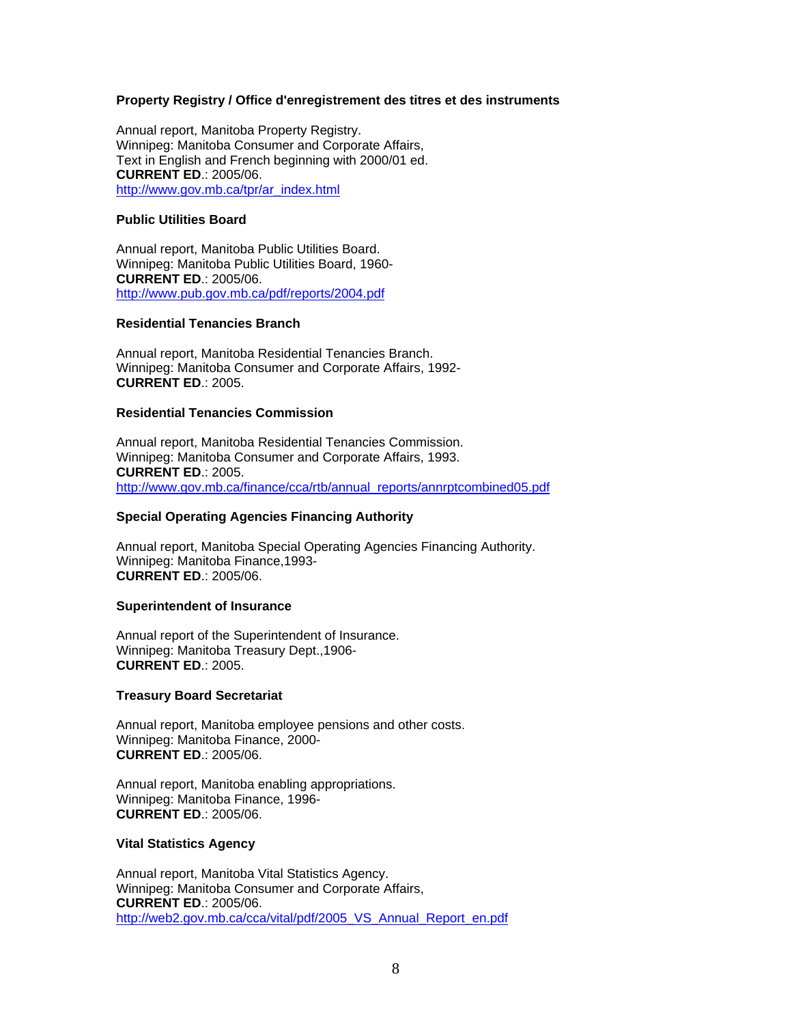### **Property Registry / Office d'enregistrement des titres et des instruments**

Annual report, Manitoba Property Registry. Winnipeg: Manitoba Consumer and Corporate Affairs, Text in English and French beginning with 2000/01 ed. **CURRENT ED**.: 2005/06. [http://www.gov.mb.ca/tpr/ar\\_index.html](https://www.gov.mb.ca/tpr/ar_index.html)

### **Public Utilities Board**

Annual report, Manitoba Public Utilities Board. Winnipeg: Manitoba Public Utilities Board, 1960- **CURRENT ED**.: 2005/06. <http://www.pub.gov.mb.ca/pdf/reports/2004.pdf>

### **Residential Tenancies Branch**

Annual report, Manitoba Residential Tenancies Branch. Winnipeg: Manitoba Consumer and Corporate Affairs, 1992- **CURRENT ED**.: 2005.

### **Residential Tenancies Commission**

Annual report, Manitoba Residential Tenancies Commission. Winnipeg: Manitoba Consumer and Corporate Affairs, 1993. **CURRENT ED**.: 2005. [http://www.gov.mb.ca/finance/cca/rtb/annual\\_reports/annrptcombined05.pdf](https://www.gov.mb.ca/finance/cca/rtb/annual_reports/annrptcombined05.pdf)

### **Special Operating Agencies Financing Authority**

Annual report, Manitoba Special Operating Agencies Financing Authority. Winnipeg: Manitoba Finance,1993- **CURRENT ED**.: 2005/06.

### **Superintendent of Insurance**

Annual report of the Superintendent of Insurance. Winnipeg: Manitoba Treasury Dept.,1906- **CURRENT ED**.: 2005.

### **Treasury Board Secretariat**

Annual report, Manitoba employee pensions and other costs. Winnipeg: Manitoba Finance, 2000- **CURRENT ED**.: 2005/06.

Annual report, Manitoba enabling appropriations. Winnipeg: Manitoba Finance, 1996- **CURRENT ED**.: 2005/06.

### **Vital Statistics Agency**

Annual report, Manitoba Vital Statistics Agency. Winnipeg: Manitoba Consumer and Corporate Affairs, **CURRENT ED**.: 2005/06. [http://web2.gov.mb.ca/cca/vital/pdf/2005\\_VS\\_Annual\\_Report\\_en.pdf](https://web2.gov.mb.ca/cca/vital/pdf/2005_VS_Annual_Report_en.pdf)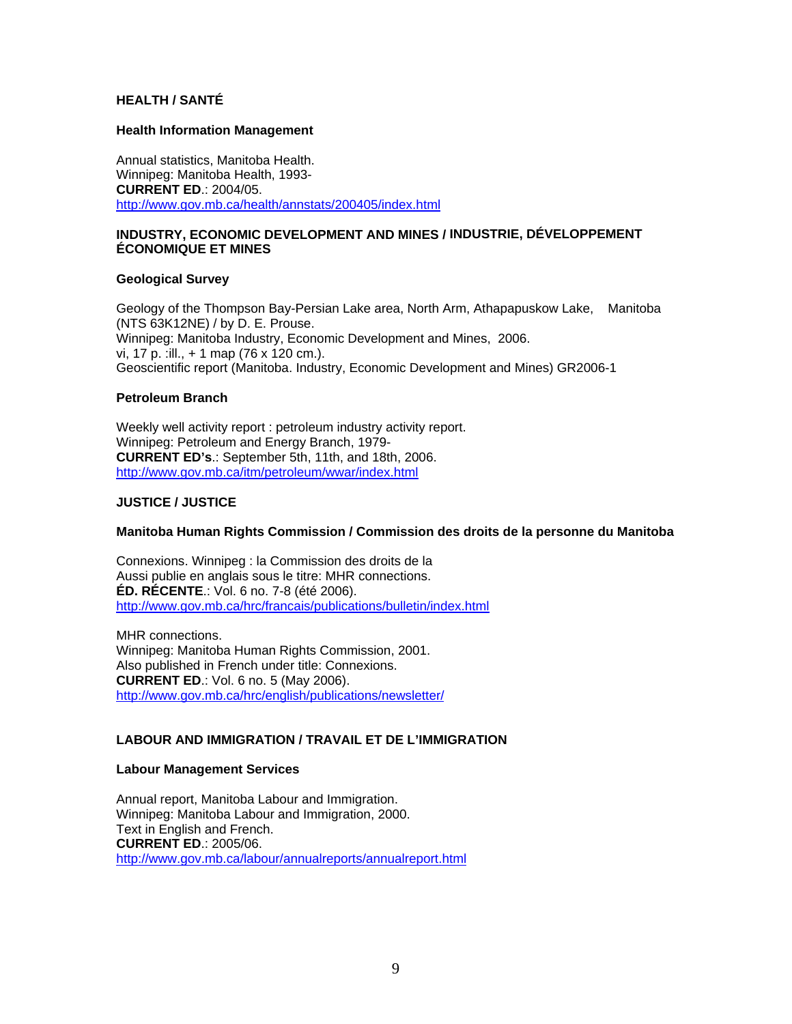### **HEALTH / SANTÉ**

#### **Health Information Management**

Annual statistics, Manitoba Health. Winnipeg: Manitoba Health, 1993- **CURRENT ED**.: 2004/05. [http://www.gov.mb.ca/health/annstats/200405/index.html](https://www.gov.mb.ca/health/annstats/200405/index.html)

### **INDUSTRY, ECONOMIC DEVELOPMENT AND MINES / [INDUSTRIE, DÉVELOPPEMENT](https://www.gov.mb.ca/iedm/index.fr.html)  [ÉCONOMIQUE ET MINES](https://www.gov.mb.ca/iedm/index.fr.html)**

#### **Geological Survey**

Geology of the Thompson Bay-Persian Lake area, North Arm, Athapapuskow Lake, Manitoba (NTS 63K12NE) / by D. E. Prouse. Winnipeg: Manitoba Industry, Economic Development and Mines, 2006. vi, 17 p. :ill., + 1 map (76 x 120 cm.). Geoscientific report (Manitoba. Industry, Economic Development and Mines) GR2006-1

### **Petroleum Branch**

Weekly well activity report : petroleum industry activity report. Winnipeg: Petroleum and Energy Branch, 1979- **CURRENT ED's**.: September 5th, 11th, and 18th, 2006. [http://www.gov.mb.ca/itm/petroleum/wwar/index.html](https://www.gov.mb.ca/itm/petroleum/wwar/index.html)

### **JUSTICE / JUSTICE**

### **Manitoba Human Rights Commission / Commission des droits de la personne du Manitoba**

Connexions. Winnipeg : la Commission des droits de la Aussi publie en anglais sous le titre: MHR connections. **ÉD. RÉCENTE**.: Vol. 6 no. 7-8 (été 2006). [http://www.gov.mb.ca/hrc/francais/publications/bulletin/index.html](https://www.gov.mb.ca/hrc/francais/publications/bulletin/index.html)

MHR connections. Winnipeg: Manitoba Human Rights Commission, 2001. Also published in French under title: Connexions. **CURRENT ED**.: Vol. 6 no. 5 (May 2006). [http://www.gov.mb.ca/hrc/english/publications/newsletter/](https://www.gov.mb.ca/hrc/english/publications/newsletter/)

### **LABOUR AND IMMIGRATION / TRAVAIL ET DE L'IMMIGRATION**

### **Labour Management Services**

Annual report, Manitoba Labour and Immigration. Winnipeg: Manitoba Labour and Immigration, 2000. Text in English and French. **CURRENT ED**.: 2005/06. [http://www.gov.mb.ca/labour/annualreports/annualreport.html](https://www.gov.mb.ca/labour/annualreports/annualreport.html)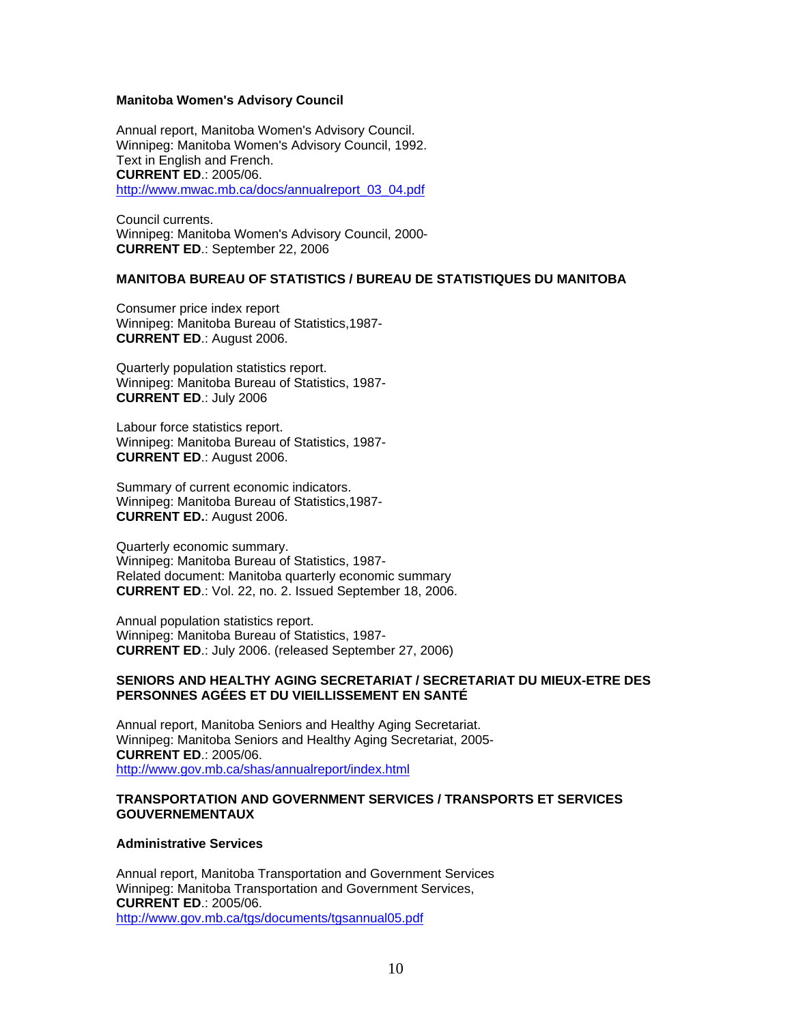#### **Manitoba Women's Advisory Council**

Annual report, Manitoba Women's Advisory Council. Winnipeg: Manitoba Women's Advisory Council, 1992. Text in English and French. **CURRENT ED**.: 2005/06. [http://www.mwac.mb.ca/docs/annualreport\\_03\\_04.pdf](http://www.mwac.mb.ca/docs/annualreport_03_04.pdf)

Council currents. Winnipeg: Manitoba Women's Advisory Council, 2000- **CURRENT ED**.: September 22, 2006

### **MANITOBA BUREAU OF STATISTICS / BUREAU DE STATISTIQUES DU MANITOBA**

Consumer price index report Winnipeg: Manitoba Bureau of Statistics,1987- **CURRENT ED**.: August 2006.

Quarterly population statistics report. Winnipeg: Manitoba Bureau of Statistics, 1987- **CURRENT ED**.: July 2006

Labour force statistics report. Winnipeg: Manitoba Bureau of Statistics, 1987- **CURRENT ED**.: August 2006.

Summary of current economic indicators. Winnipeg: Manitoba Bureau of Statistics,1987- **CURRENT ED.**: August 2006.

Quarterly economic summary. Winnipeg: Manitoba Bureau of Statistics, 1987- Related document: Manitoba quarterly economic summary **CURRENT ED**.: Vol. 22, no. 2. Issued September 18, 2006.

Annual population statistics report. Winnipeg: Manitoba Bureau of Statistics, 1987- **CURRENT ED**.: July 2006. (released September 27, 2006)

### **SENIORS AND HEALTHY AGING SECRETARIAT / SECRETARIAT DU MIEUX-ETRE DES PERSONNES AGÉES ET DU VIEILLISSEMENT EN SANTÉ**

Annual report, Manitoba Seniors and Healthy Aging Secretariat. Winnipeg: Manitoba Seniors and Healthy Aging Secretariat, 2005- **CURRENT ED**.: 2005/06. [http://www.gov.mb.ca/shas/annualreport/index.html](https://www.gov.mb.ca/shas/annualreport/index.html)

#### **TRANSPORTATION AND GOVERNMENT SERVICES / TRANSPORTS ET SERVICES GOUVERNEMENTAUX**

#### **Administrative Services**

Annual report, Manitoba Transportation and Government Services Winnipeg: Manitoba Transportation and Government Services, **CURRENT ED**.: 2005/06. [http://www.gov.mb.ca/tgs/documents/tgsannual05.pdf](https://www.gov.mb.ca/tgs/documents/tgsannual05.pdf)